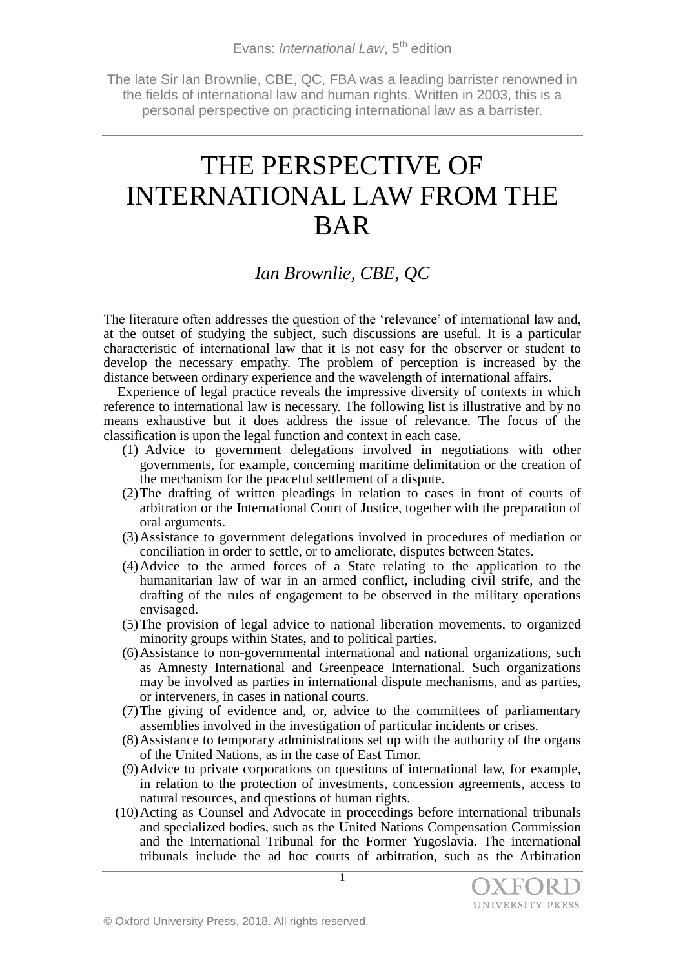The late Sir Ian Brownlie, CBE, QC, FBA was a leading barrister renowned in the fields of international law and human rights. Written in 2003, this is a personal perspective on practicing international law as a barrister.

## THE PERSPECTIVE OF INTERNATIONAL LAW FROM THE BAR

## *Ian Brownlie, CBE, QC*

The literature often addresses the question of the 'relevance' of international law and, at the outset of studying the subject, such discussions are useful. It is a particular characteristic of international law that it is not easy for the observer or student to develop the necessary empathy. The problem of perception is increased by the distance between ordinary experience and the wavelength of international affairs.

Experience of legal practice reveals the impressive diversity of contexts in which reference to international law is necessary. The following list is illustrative and by no means exhaustive but it does address the issue of relevance. The focus of the classification is upon the legal function and context in each case.

- (1) Advice to government delegations involved in negotiations with other governments, for example, concerning maritime delimitation or the creation of the mechanism for the peaceful settlement of a dispute.
- (2)The drafting of written pleadings in relation to cases in front of courts of arbitration or the International Court of Justice, together with the preparation of oral arguments.
- (3)Assistance to government delegations involved in procedures of mediation or conciliation in order to settle, or to ameliorate, disputes between States.
- (4)Advice to the armed forces of a State relating to the application to the humanitarian law of war in an armed conflict, including civil strife, and the drafting of the rules of engagement to be observed in the military operations envisaged.
- (5)The provision of legal advice to national liberation movements, to organized minority groups within States, and to political parties.
- (6)Assistance to non-governmental international and national organizations, such as Amnesty International and Greenpeace International. Such organizations may be involved as parties in international dispute mechanisms, and as parties, or interveners, in cases in national courts.
- (7)The giving of evidence and, or, advice to the committees of parliamentary assemblies involved in the investigation of particular incidents or crises.
- (8)Assistance to temporary administrations set up with the authority of the organs of the United Nations, as in the case of East Timor.
- (9)Advice to private corporations on questions of international law, for example, in relation to the protection of investments, concession agreements, access to natural resources, and questions of human rights.
- (10)Acting as Counsel and Advocate in proceedings before international tribunals and specialized bodies, such as the United Nations Compensation Commission and the International Tribunal for the Former Yugoslavia. The international tribunals include the ad hoc courts of arbitration, such as the Arbitration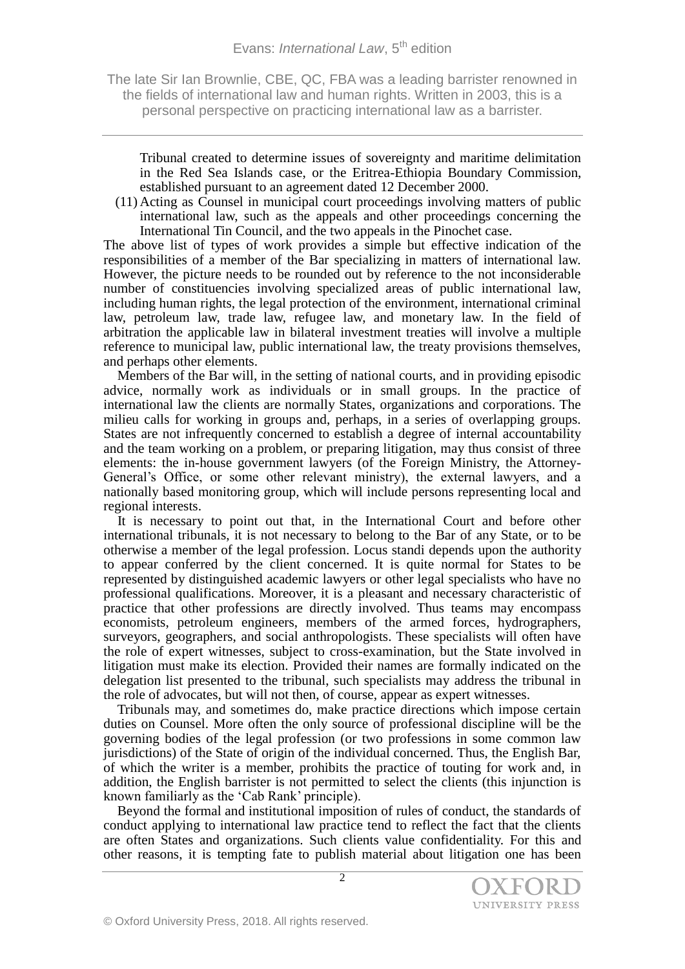The late Sir Ian Brownlie, CBE, QC, FBA was a leading barrister renowned in the fields of international law and human rights. Written in 2003, this is a personal perspective on practicing international law as a barrister.

Tribunal created to determine issues of sovereignty and maritime delimitation in the Red Sea Islands case, or the Eritrea-Ethiopia Boundary Commission, established pursuant to an agreement dated 12 December 2000.

(11) Acting as Counsel in municipal court proceedings involving matters of public international law, such as the appeals and other proceedings concerning the International Tin Council, and the two appeals in the Pinochet case.

The above list of types of work provides a simple but effective indication of the responsibilities of a member of the Bar specializing in matters of international law. However, the picture needs to be rounded out by reference to the not inconsiderable number of constituencies involving specialized areas of public international law, including human rights, the legal protection of the environment, international criminal law, petroleum law, trade law, refugee law, and monetary law. In the field of arbitration the applicable law in bilateral investment treaties will involve a multiple reference to municipal law, public international law, the treaty provisions themselves, and perhaps other elements.

Members of the Bar will, in the setting of national courts, and in providing episodic advice, normally work as individuals or in small groups. In the practice of international law the clients are normally States, organizations and corporations. The milieu calls for working in groups and, perhaps, in a series of overlapping groups. States are not infrequently concerned to establish a degree of internal accountability and the team working on a problem, or preparing litigation, may thus consist of three elements: the in-house government lawyers (of the Foreign Ministry, the Attorney-General's Office, or some other relevant ministry), the external lawyers, and a nationally based monitoring group, which will include persons representing local and regional interests.

It is necessary to point out that, in the International Court and before other international tribunals, it is not necessary to belong to the Bar of any State, or to be otherwise a member of the legal profession. Locus standi depends upon the authority to appear conferred by the client concerned. It is quite normal for States to be represented by distinguished academic lawyers or other legal specialists who have no professional qualifications. Moreover, it is a pleasant and necessary characteristic of practice that other professions are directly involved. Thus teams may encompass economists, petroleum engineers, members of the armed forces, hydrographers, surveyors, geographers, and social anthropologists. These specialists will often have the role of expert witnesses, subject to cross-examination, but the State involved in litigation must make its election. Provided their names are formally indicated on the delegation list presented to the tribunal, such specialists may address the tribunal in the role of advocates, but will not then, of course, appear as expert witnesses.

Tribunals may, and sometimes do, make practice directions which impose certain duties on Counsel. More often the only source of professional discipline will be the governing bodies of the legal profession (or two professions in some common law jurisdictions) of the State of origin of the individual concerned. Thus, the English Bar, of which the writer is a member, prohibits the practice of touting for work and, in addition, the English barrister is not permitted to select the clients (this injunction is known familiarly as the 'Cab Rank' principle).

Beyond the formal and institutional imposition of rules of conduct, the standards of conduct applying to international law practice tend to reflect the fact that the clients are often States and organizations. Such clients value confidentiality. For this and other reasons, it is tempting fate to publish material about litigation one has been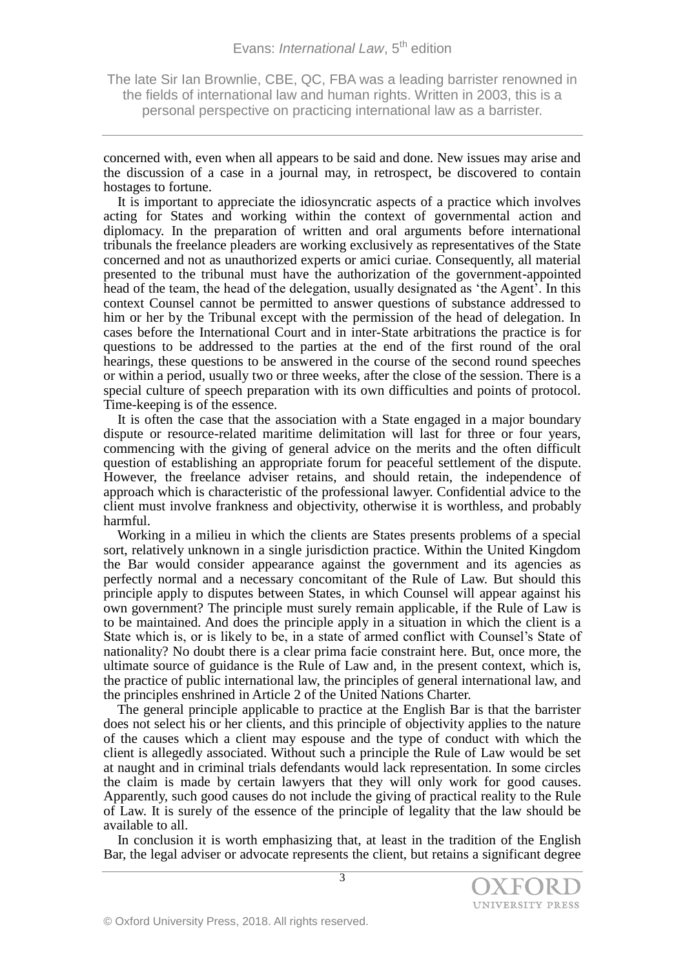The late Sir Ian Brownlie, CBE, QC, FBA was a leading barrister renowned in the fields of international law and human rights. Written in 2003, this is a personal perspective on practicing international law as a barrister.

concerned with, even when all appears to be said and done. New issues may arise and the discussion of a case in a journal may, in retrospect, be discovered to contain hostages to fortune.

It is important to appreciate the idiosyncratic aspects of a practice which involves acting for States and working within the context of governmental action and diplomacy. In the preparation of written and oral arguments before international tribunals the freelance pleaders are working exclusively as representatives of the State concerned and not as unauthorized experts or amici curiae. Consequently, all material presented to the tribunal must have the authorization of the government-appointed head of the team, the head of the delegation, usually designated as 'the Agent'. In this context Counsel cannot be permitted to answer questions of substance addressed to him or her by the Tribunal except with the permission of the head of delegation. In cases before the International Court and in inter-State arbitrations the practice is for questions to be addressed to the parties at the end of the first round of the oral hearings, these questions to be answered in the course of the second round speeches or within a period, usually two or three weeks, after the close of the session. There is a special culture of speech preparation with its own difficulties and points of protocol. Time-keeping is of the essence.

It is often the case that the association with a State engaged in a major boundary dispute or resource-related maritime delimitation will last for three or four years, commencing with the giving of general advice on the merits and the often difficult question of establishing an appropriate forum for peaceful settlement of the dispute. However, the freelance adviser retains, and should retain, the independence of approach which is characteristic of the professional lawyer. Confidential advice to the client must involve frankness and objectivity, otherwise it is worthless, and probably harmful.

Working in a milieu in which the clients are States presents problems of a special sort, relatively unknown in a single jurisdiction practice. Within the United Kingdom the Bar would consider appearance against the government and its agencies as perfectly normal and a necessary concomitant of the Rule of Law. But should this principle apply to disputes between States, in which Counsel will appear against his own government? The principle must surely remain applicable, if the Rule of Law is to be maintained. And does the principle apply in a situation in which the client is a State which is, or is likely to be, in a state of armed conflict with Counsel's State of nationality? No doubt there is a clear prima facie constraint here. But, once more, the ultimate source of guidance is the Rule of Law and, in the present context, which is, the practice of public international law, the principles of general international law, and the principles enshrined in Article 2 of the United Nations Charter.

The general principle applicable to practice at the English Bar is that the barrister does not select his or her clients, and this principle of objectivity applies to the nature of the causes which a client may espouse and the type of conduct with which the client is allegedly associated. Without such a principle the Rule of Law would be set at naught and in criminal trials defendants would lack representation. In some circles the claim is made by certain lawyers that they will only work for good causes. Apparently, such good causes do not include the giving of practical reality to the Rule of Law. It is surely of the essence of the principle of legality that the law should be available to all.

In conclusion it is worth emphasizing that, at least in the tradition of the English Bar, the legal adviser or advocate represents the client, but retains a significant degree